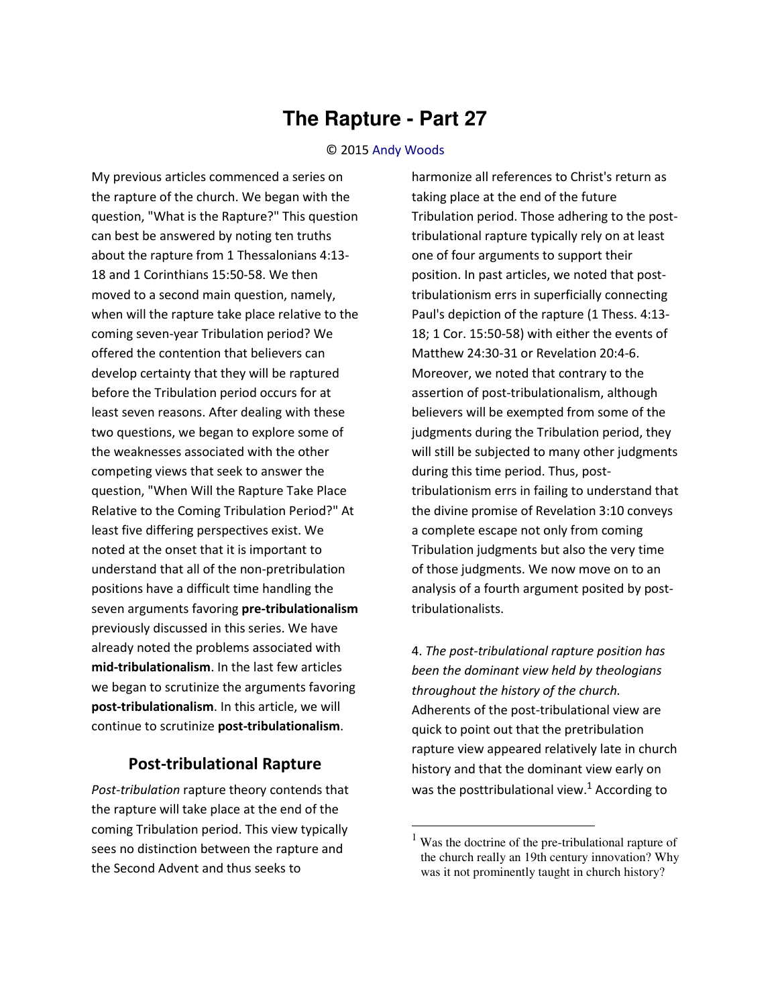## **The Rapture - Part 27**

## © 2015 [Andy Woods](http://www.spiritandtruth.org/id/aw.htm)

My previous articles commenced a series on the rapture of the church. We began with the question, "What is the Rapture?" This question can best be answered by noting ten truths about the rapture from 1 Thessalonians 4:13- 18 and 1 Corinthians 15:50-58. We then moved to a second main question, namely, when will the rapture take place relative to the coming seven-year Tribulation period? We offered the contention that believers can develop certainty that they will be raptured before the Tribulation period occurs for at least seven reasons. After dealing with these two questions, we began to explore some of the weaknesses associated with the other competing views that seek to answer the question, "When Will the Rapture Take Place Relative to the Coming Tribulation Period?" At least five differing perspectives exist. We noted at the onset that it is important to understand that all of the non-pretribulation positions have a difficult time handling the seven arguments favoring **pre-tribulationalism** previously discussed in this series. We have already noted the problems associated with **mid-tribulationalism**. In the last few articles we began to scrutinize the arguments favoring **post-tribulationalism**. In this article, we will continue to scrutinize **post-tribulationalism**.

## **Post-tribulational Rapture**

*Post-tribulation* rapture theory contends that the rapture will take place at the end of the coming Tribulation period. This view typically sees no distinction between the rapture and the Second Advent and thus seeks to

harmonize all references to Christ's return as taking place at the end of the future Tribulation period. Those adhering to the posttribulational rapture typically rely on at least one of four arguments to support their position. In past articles, we noted that posttribulationism errs in superficially connecting Paul's depiction of the rapture (1 Thess. 4:13- 18; 1 Cor. 15:50-58) with either the events of Matthew 24:30-31 or Revelation 20:4-6. Moreover, we noted that contrary to the assertion of post-tribulationalism, although believers will be exempted from some of the judgments during the Tribulation period, they will still be subjected to many other judgments during this time period. Thus, posttribulationism errs in failing to understand that the divine promise of Revelation 3:10 conveys a complete escape not only from coming Tribulation judgments but also the very time of those judgments. We now move on to an analysis of a fourth argument posited by posttribulationalists.

4. *The post-tribulational rapture position has been the dominant view held by theologians throughout the history of the church.* Adherents of the post-tribulational view are quick to point out that the pretribulation rapture view appeared relatively late in church history and that the dominant view early on was the posttribulational view.<sup>1</sup> According to

l

<sup>&</sup>lt;sup>1</sup> Was the doctrine of the pre-tribulational rapture of the church really an 19th century innovation? Why was it not prominently taught in church history?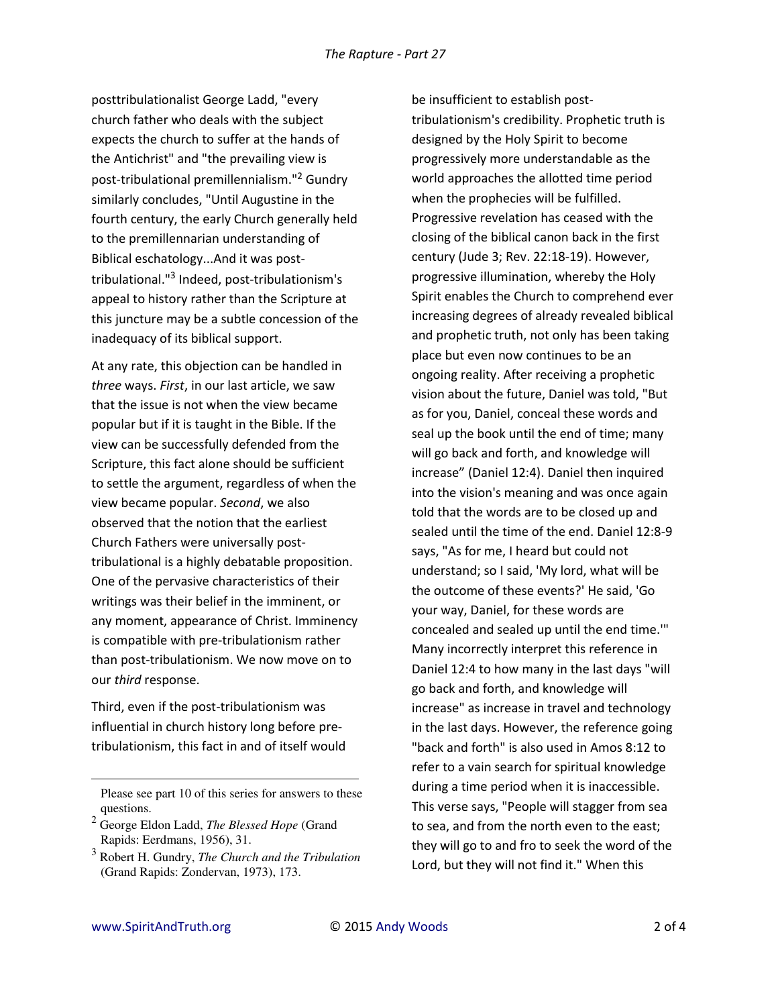posttribulationalist George Ladd, "every church father who deals with the subject expects the church to suffer at the hands of the Antichrist" and "the prevailing view is post-tribulational premillennialism."<sup>2</sup> Gundry similarly concludes, "Until Augustine in the fourth century, the early Church generally held to the premillennarian understanding of Biblical eschatology...And it was posttribulational."<sup>3</sup> Indeed, post-tribulationism's appeal to history rather than the Scripture at this juncture may be a subtle concession of the inadequacy of its biblical support.

At any rate, this objection can be handled in *three* ways. *First*, in our last article, we saw that the issue is not when the view became popular but if it is taught in the Bible. If the view can be successfully defended from the Scripture, this fact alone should be sufficient to settle the argument, regardless of when the view became popular. *Second*, we also observed that the notion that the earliest Church Fathers were universally posttribulational is a highly debatable proposition. One of the pervasive characteristics of their writings was their belief in the imminent, or any moment, appearance of Christ. Imminency is compatible with pre-tribulationism rather than post-tribulationism. We now move on to our *third* response.

Third, even if the post-tribulationism was influential in church history long before pretribulationism, this fact in and of itself would be insufficient to establish posttribulationism's credibility. Prophetic truth is designed by the Holy Spirit to become progressively more understandable as the world approaches the allotted time period when the prophecies will be fulfilled. Progressive revelation has ceased with the closing of the biblical canon back in the first century (Jude 3; Rev. 22:18-19). However, progressive illumination, whereby the Holy Spirit enables the Church to comprehend ever increasing degrees of already revealed biblical and prophetic truth, not only has been taking place but even now continues to be an ongoing reality. After receiving a prophetic vision about the future, Daniel was told, "But as for you, Daniel, conceal these words and seal up the book until the end of time; many will go back and forth, and knowledge will increase" (Daniel 12:4). Daniel then inquired into the vision's meaning and was once again told that the words are to be closed up and sealed until the time of the end. Daniel 12:8-9 says, "As for me, I heard but could not understand; so I said, 'My lord, what will be the outcome of these events?' He said, 'Go your way, Daniel, for these words are concealed and sealed up until the end time.'" Many incorrectly interpret this reference in Daniel 12:4 to how many in the last days "will go back and forth, and knowledge will increase" as increase in travel and technology in the last days. However, the reference going "back and forth" is also used in Amos 8:12 to refer to a vain search for spiritual knowledge during a time period when it is inaccessible. This verse says, "People will stagger from sea to sea, and from the north even to the east; they will go to and fro to seek the word of the Lord, but they will not find it." When this

l

Please see part 10 of this series for answers to these questions.

<sup>2</sup> George Eldon Ladd, *The Blessed Hope* (Grand Rapids: Eerdmans, 1956), 31.

<sup>3</sup> Robert H. Gundry, *The Church and the Tribulation* (Grand Rapids: Zondervan, 1973), 173.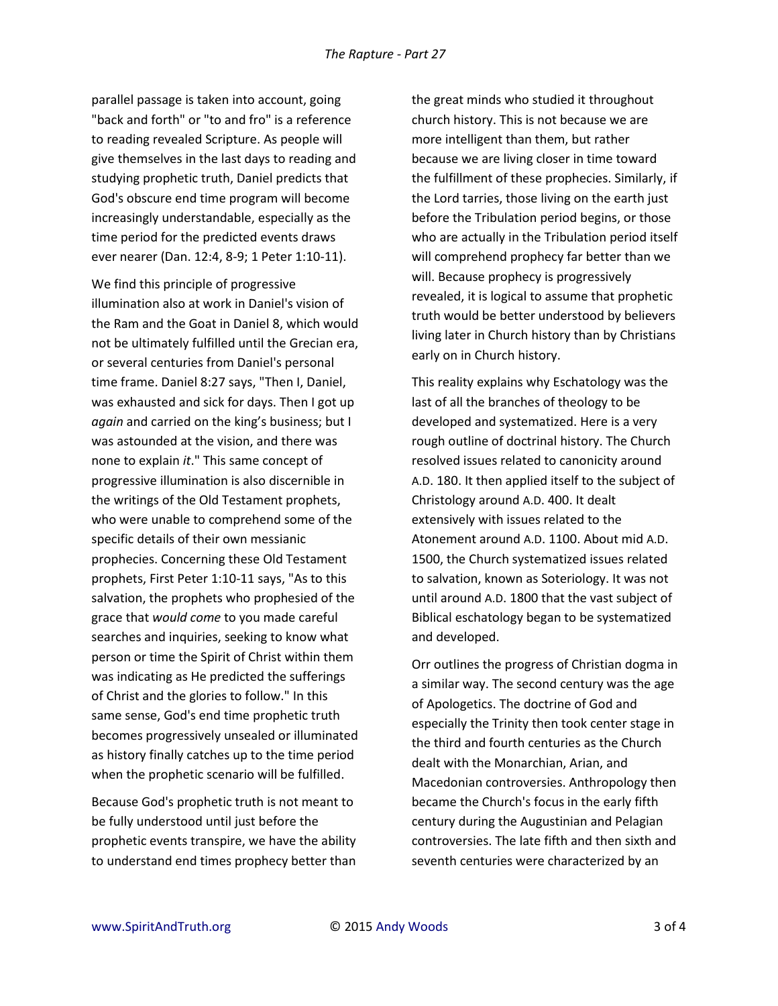parallel passage is taken into account, going "back and forth" or "to and fro" is a reference to reading revealed Scripture. As people will give themselves in the last days to reading and studying prophetic truth, Daniel predicts that God's obscure end time program will become increasingly understandable, especially as the time period for the predicted events draws ever nearer (Dan. 12:4, 8-9; 1 Peter 1:10-11).

We find this principle of progressive illumination also at work in Daniel's vision of the Ram and the Goat in Daniel 8, which would not be ultimately fulfilled until the Grecian era, or several centuries from Daniel's personal time frame. Daniel 8:27 says, "Then I, Daniel, was exhausted and sick for days. Then I got up *again* and carried on the king's business; but I was astounded at the vision, and there was none to explain *it*." This same concept of progressive illumination is also discernible in the writings of the Old Testament prophets, who were unable to comprehend some of the specific details of their own messianic prophecies. Concerning these Old Testament prophets, First Peter 1:10-11 says, "As to this salvation, the prophets who prophesied of the grace that *would come* to you made careful searches and inquiries, seeking to know what person or time the Spirit of Christ within them was indicating as He predicted the sufferings of Christ and the glories to follow." In this same sense, God's end time prophetic truth becomes progressively unsealed or illuminated as history finally catches up to the time period when the prophetic scenario will be fulfilled.

Because God's prophetic truth is not meant to be fully understood until just before the prophetic events transpire, we have the ability to understand end times prophecy better than the great minds who studied it throughout church history. This is not because we are more intelligent than them, but rather because we are living closer in time toward the fulfillment of these prophecies. Similarly, if the Lord tarries, those living on the earth just before the Tribulation period begins, or those who are actually in the Tribulation period itself will comprehend prophecy far better than we will. Because prophecy is progressively revealed, it is logical to assume that prophetic truth would be better understood by believers living later in Church history than by Christians early on in Church history.

This reality explains why Eschatology was the last of all the branches of theology to be developed and systematized. Here is a very rough outline of doctrinal history. The Church resolved issues related to canonicity around A.D. 180. It then applied itself to the subject of Christology around A.D. 400. It dealt extensively with issues related to the Atonement around A.D. 1100. About mid A.D. 1500, the Church systematized issues related to salvation, known as Soteriology. It was not until around A.D. 1800 that the vast subject of Biblical eschatology began to be systematized and developed.

Orr outlines the progress of Christian dogma in a similar way. The second century was the age of Apologetics. The doctrine of God and especially the Trinity then took center stage in the third and fourth centuries as the Church dealt with the Monarchian, Arian, and Macedonian controversies. Anthropology then became the Church's focus in the early fifth century during the Augustinian and Pelagian controversies. The late fifth and then sixth and seventh centuries were characterized by an